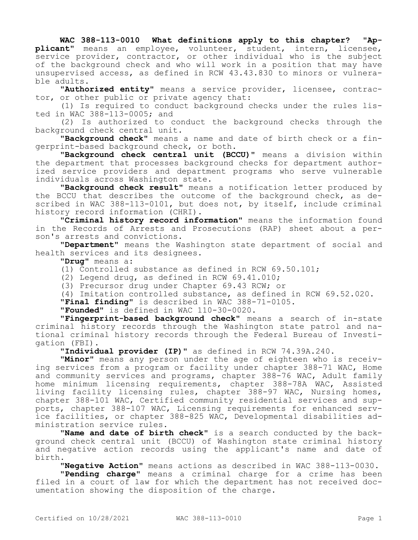## **WAC 388-113-0010 What definitions apply to this chapter? "Applicant"** means an employee, volunteer, student, intern, licensee, service provider, contractor, or other individual who is the subject of the background check and who will work in a position that may have unsupervised access, as defined in RCW 43.43.830 to minors or vulnerable adults.

**"Authorized entity"** means a service provider, licensee, contractor, or other public or private agency that:

(1) Is required to conduct background checks under the rules listed in WAC 388-113-0005; and

(2) Is authorized to conduct the background checks through the background check central unit.

**"Background check"** means a name and date of birth check or a fingerprint-based background check, or both.

**"Background check central unit (BCCU)"** means a division within the department that processes background checks for department authorized service providers and department programs who serve vulnerable individuals across Washington state.

**"Background check result"** means a notification letter produced by the BCCU that describes the outcome of the background check, as described in WAC 388-113-0101, but does not, by itself, include criminal history record information (CHRI).

**"Criminal history record information"** means the information found in the Records of Arrests and Prosecutions (RAP) sheet about a person's arrests and convictions.

**"Department"** means the Washington state department of social and health services and its designees.

**"Drug"** means a:

(1) Controlled substance as defined in RCW 69.50.101;

(2) Legend drug, as defined in RCW 69.41.010;

(3) Precursor drug under Chapter 69.43 RCW; or

(4) Imitation controlled substance, as defined in RCW 69.52.020.

**"Final finding"** is described in WAC 388-71-0105.

**"Founded"** is defined in WAC 110-30-0020.

**"Fingerprint-based background check"** means a search of in-state criminal history records through the Washington state patrol and national criminal history records through the Federal Bureau of Investigation (FBI).

**"Individual provider (IP)"** as defined in RCW 74.39A.240.

**"Minor"** means any person under the age of eighteen who is receiving services from a program or facility under chapter 388-71 WAC, Home and community services and programs, chapter 388-76 WAC, Adult family home minimum licensing requirements, chapter 388-78A WAC, Assisted living facility licensing rules, chapter 388-97 WAC, Nursing homes, chapter 388-101 WAC, Certified community residential services and supports, chapter 388-107 WAC, Licensing requirements for enhanced service facilities, or chapter 388-825 WAC, Developmental disabilities administration service rules.

**"Name and date of birth check"** is a search conducted by the background check central unit (BCCU) of Washington state criminal history and negative action records using the applicant's name and date of birth.

**"Negative Action"** means actions as described in WAC 388-113-0030.

**"Pending charge"** means a criminal charge for a crime has been filed in a court of law for which the department has not received documentation showing the disposition of the charge.